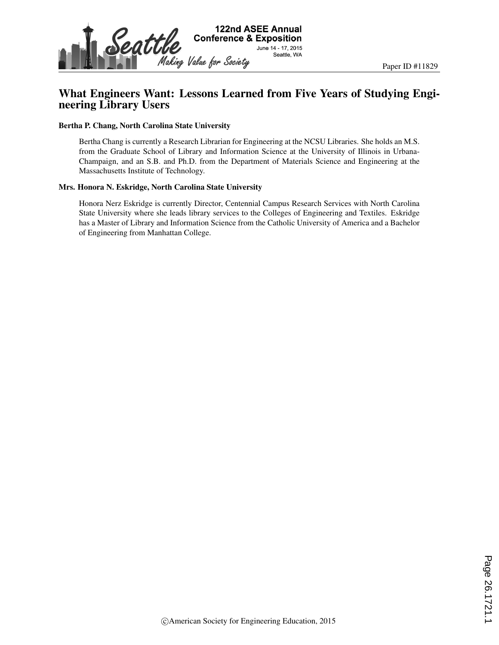

# What Engineers Want: Lessons Learned from Five Years of Studying Engineering Library Users

#### Bertha P. Chang, North Carolina State University

Bertha Chang is currently a Research Librarian for Engineering at the NCSU Libraries. She holds an M.S. from the Graduate School of Library and Information Science at the University of Illinois in Urbana-Champaign, and an S.B. and Ph.D. from the Department of Materials Science and Engineering at the Massachusetts Institute of Technology.

#### Mrs. Honora N. Eskridge, North Carolina State University

Honora Nerz Eskridge is currently Director, Centennial Campus Research Services with North Carolina State University where she leads library services to the Colleges of Engineering and Textiles. Eskridge has a Master of Library and Information Science from the Catholic University of America and a Bachelor of Engineering from Manhattan College.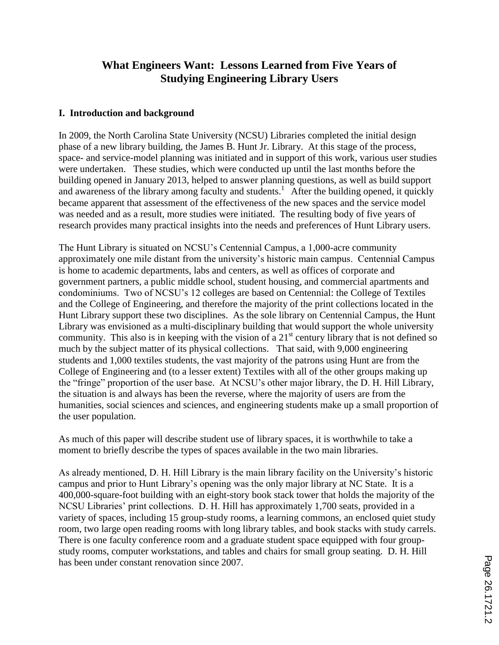# **What Engineers Want: Lessons Learned from Five Years of Studying Engineering Library Users**

### **I. Introduction and background**

In 2009, the North Carolina State University (NCSU) Libraries completed the initial design phase of a new library building, the James B. Hunt Jr. Library. At this stage of the process, space- and service-model planning was initiated and in support of this work, various user studies were undertaken. These studies, which were conducted up until the last months before the building opened in January 2013, helped to answer planning questions, as well as build support and awareness of the library among faculty and students.<sup>1</sup> After the building opened, it quickly became apparent that assessment of the effectiveness of the new spaces and the service model was needed and as a result, more studies were initiated. The resulting body of five years of research provides many practical insights into the needs and preferences of Hunt Library users.

The Hunt Library is situated on NCSU's Centennial Campus, a 1,000-acre community approximately one mile distant from the university's historic main campus. Centennial Campus is home to academic departments, labs and centers, as well as offices of corporate and government partners, a public middle school, student housing, and commercial apartments and condominiums. Two of NCSU's 12 colleges are based on Centennial: the College of Textiles and the College of Engineering, and therefore the majority of the print collections located in the Hunt Library support these two disciplines. As the sole library on Centennial Campus, the Hunt Library was envisioned as a multi-disciplinary building that would support the whole university community. This also is in keeping with the vision of a  $21<sup>st</sup>$  century library that is not defined so much by the subject matter of its physical collections. That said, with 9,000 engineering students and 1,000 textiles students, the vast majority of the patrons using Hunt are from the College of Engineering and (to a lesser extent) Textiles with all of the other groups making up the "fringe" proportion of the user base. At NCSU's other major library, the D. H. Hill Library, the situation is and always has been the reverse, where the majority of users are from the humanities, social sciences and sciences, and engineering students make up a small proportion of the user population.

As much of this paper will describe student use of library spaces, it is worthwhile to take a moment to briefly describe the types of spaces available in the two main libraries.

As already mentioned, D. H. Hill Library is the main library facility on the University's historic campus and prior to Hunt Library's opening was the only major library at NC State. It is a 400,000-square-foot building with an eight-story book stack tower that holds the majority of the NCSU Libraries' print collections. D. H. Hill has approximately 1,700 seats, provided in a variety of spaces, including 15 group-study rooms, a learning commons, an enclosed quiet study room, two large open reading rooms with long library tables, and book stacks with study carrels. There is one faculty conference room and a graduate student space equipped with four groupstudy rooms, computer workstations, and tables and chairs for small group seating. D. H. Hill has been under constant renovation since 2007.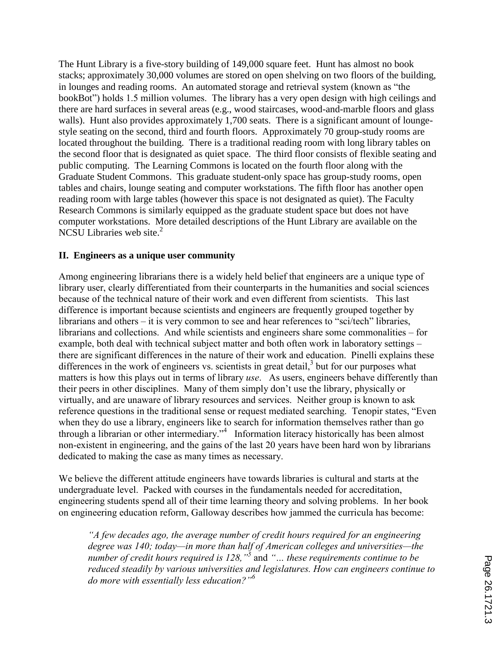The Hunt Library is a five-story building of 149,000 square feet. Hunt has almost no book stacks; approximately 30,000 volumes are stored on open shelving on two floors of the building, in lounges and reading rooms. An automated storage and retrieval system (known as "the bookBot") holds 1.5 million volumes. The library has a very open design with high ceilings and there are hard surfaces in several areas (e.g., wood staircases, wood-and-marble floors and glass walls). Hunt also provides approximately 1,700 seats. There is a significant amount of loungestyle seating on the second, third and fourth floors. Approximately 70 group-study rooms are located throughout the building. There is a traditional reading room with long library tables on the second floor that is designated as quiet space. The third floor consists of flexible seating and public computing. The Learning Commons is located on the fourth floor along with the Graduate Student Commons. This graduate student-only space has group-study rooms, open tables and chairs, lounge seating and computer workstations. The fifth floor has another open reading room with large tables (however this space is not designated as quiet). The Faculty Research Commons is similarly equipped as the graduate student space but does not have computer workstations. More detailed descriptions of the Hunt Library are available on the NCSU Libraries web site. $2$ 

#### **II. Engineers as a unique user community**

Among engineering librarians there is a widely held belief that engineers are a unique type of library user, clearly differentiated from their counterparts in the humanities and social sciences because of the technical nature of their work and even different from scientists. This last difference is important because scientists and engineers are frequently grouped together by librarians and others – it is very common to see and hear references to "sci/tech" libraries, librarians and collections. And while scientists and engineers share some commonalities – for example, both deal with technical subject matter and both often work in laboratory settings – there are significant differences in the nature of their work and education. Pinelli explains these differences in the work of engineers vs. scientists in great detail,<sup>3</sup> but for our purposes what matters is how this plays out in terms of library *use*. As users, engineers behave differently than their peers in other disciplines. Many of them simply don't use the library, physically or virtually, and are unaware of library resources and services. Neither group is known to ask reference questions in the traditional sense or request mediated searching. Tenopir states, "Even when they do use a library, engineers like to search for information themselves rather than go through a librarian or other intermediary."<sup>4</sup> Information literacy historically has been almost non-existent in engineering, and the gains of the last 20 years have been hard won by librarians dedicated to making the case as many times as necessary.

We believe the different attitude engineers have towards libraries is cultural and starts at the undergraduate level. Packed with courses in the fundamentals needed for accreditation, engineering students spend all of their time learning theory and solving problems. In her book on engineering education reform, Galloway describes how jammed the curricula has become:

*"A few decades ago, the average number of credit hours required for an engineering degree was 140; today—in more than half of American colleges and universities—the number of credit hours required is 128,"<sup>5</sup>* and *"… these requirements continue to be reduced steadily by various universities and legislatures. How can engineers continue to do more with essentially less education?"<sup>6</sup>*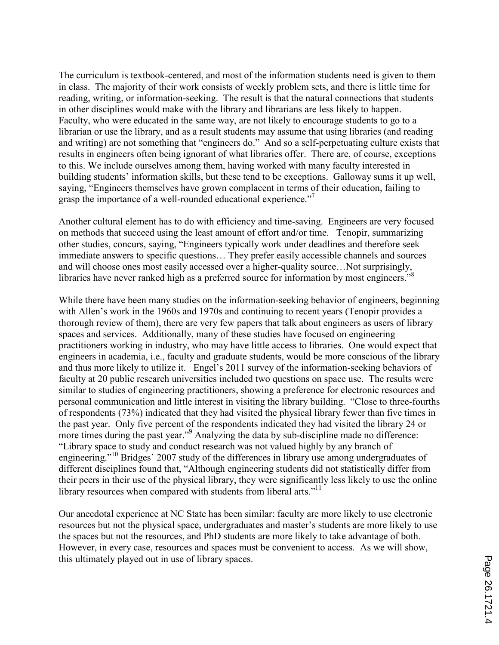The curriculum is textbook-centered, and most of the information students need is given to them in class. The majority of their work consists of weekly problem sets, and there is little time for reading, writing, or information-seeking. The result is that the natural connections that students in other disciplines would make with the library and librarians are less likely to happen. Faculty, who were educated in the same way, are not likely to encourage students to go to a librarian or use the library, and as a result students may assume that using libraries (and reading and writing) are not something that "engineers do." And so a self-perpetuating culture exists that results in engineers often being ignorant of what libraries offer. There are, of course, exceptions to this. We include ourselves among them, having worked with many faculty interested in building students' information skills, but these tend to be exceptions. Galloway sums it up well, saying, "Engineers themselves have grown complacent in terms of their education, failing to grasp the importance of a well-rounded educational experience."<sup>7</sup>

Another cultural element has to do with efficiency and time-saving. Engineers are very focused on methods that succeed using the least amount of effort and/or time. Tenopir, summarizing other studies, concurs, saying, "Engineers typically work under deadlines and therefore seek immediate answers to specific questions… They prefer easily accessible channels and sources and will choose ones most easily accessed over a higher-quality source…Not surprisingly, libraries have never ranked high as a preferred source for information by most engineers."<sup>8</sup>

While there have been many studies on the information-seeking behavior of engineers, beginning with Allen's work in the 1960s and 1970s and continuing to recent years (Tenopir provides a thorough review of them), there are very few papers that talk about engineers as users of library spaces and services. Additionally, many of these studies have focused on engineering practitioners working in industry, who may have little access to libraries. One would expect that engineers in academia, i.e., faculty and graduate students, would be more conscious of the library and thus more likely to utilize it. Engel's 2011 survey of the information-seeking behaviors of faculty at 20 public research universities included two questions on space use. The results were similar to studies of engineering practitioners, showing a preference for electronic resources and personal communication and little interest in visiting the library building. "Close to three-fourths of respondents (73%) indicated that they had visited the physical library fewer than five times in the past year. Only five percent of the respondents indicated they had visited the library 24 or more times during the past year."<sup>9</sup> Analyzing the data by sub-discipline made no difference: "Library space to study and conduct research was not valued highly by any branch of engineering."<sup>10</sup> Bridges' 2007 study of the differences in library use among undergraduates of different disciplines found that, "Although engineering students did not statistically differ from their peers in their use of the physical library, they were significantly less likely to use the online library resources when compared with students from liberal arts."<sup>11</sup>

Our anecdotal experience at NC State has been similar: faculty are more likely to use electronic resources but not the physical space, undergraduates and master's students are more likely to use the spaces but not the resources, and PhD students are more likely to take advantage of both. However, in every case, resources and spaces must be convenient to access. As we will show, this ultimately played out in use of library spaces.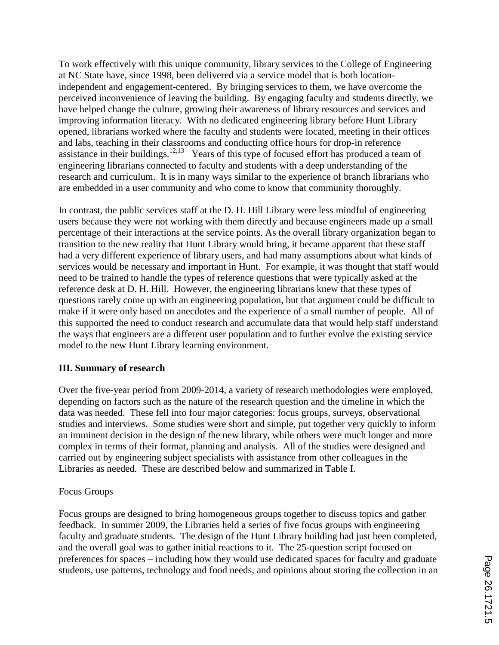To work effectively with this unique community, library services to the College of Engineering at NC State have, since 1998, been delivered via a service model that is both locationindependent and engagement-centered. By bringing services to them, we have overcome the perceived inconvenience of leaving the building. By engaging faculty and students directly, we have helped change the culture, growing their awareness of library resources and services and improving information literacy. With no dedicated engineering library before Hunt Library opened, librarians worked where the faculty and students were located, meeting in their offices and labs, teaching in their classrooms and conducting office hours for drop-in reference assistance in their buildings.<sup>12,13</sup> Years of this type of focused effort has produced a team of engineering librarians connected to faculty and students with a deep understanding of the research and curriculum. It is in many ways similar to the experience of branch librarians who are embedded in a user community and who come to know that community thoroughly.

In contrast, the public services staff at the D. H. Hill Library were less mindful of engineering users because they were not working with them directly and because engineers made up a small percentage of their interactions at the service points. As the overall library organization began to transition to the new reality that Hunt Library would bring, it became apparent that these staff had a very different experience of library users, and had many assumptions about what kinds of services would be necessary and important in Hunt. For example, it was thought that staff would need to be trained to handle the types of reference questions that were typically asked at the reference desk at D. H. Hill. However, the engineering librarians knew that these types of questions rarely come up with an engineering population, but that argument could be difficult to make if it were only based on anecdotes and the experience of a small number of people. All of this supported the need to conduct research and accumulate data that would help staff understand the ways that engineers are a different user population and to further evolve the existing service model to the new Hunt Library learning environment.

### **III. Summary of research**

Over the five-year period from 2009-2014, a variety of research methodologies were employed, depending on factors such as the nature of the research question and the timeline in which the data was needed. These fell into four major categories: focus groups, surveys, observational studies and interviews. Some studies were short and simple, put together very quickly to inform an imminent decision in the design of the new library, while others were much longer and more complex in terms of their format, planning and analysis. All of the studies were designed and carried out by engineering subject specialists with assistance from other colleagues in the Libraries as needed. These are described below and summarized in Table I.

#### Focus Groups

Focus groups are designed to bring homogeneous groups together to discuss topics and gather feedback. In summer 2009, the Libraries held a series of five focus groups with engineering faculty and graduate students. The design of the Hunt Library building had just been completed, and the overall goal was to gather initial reactions to it. The 25-question script focused on preferences for spaces – including how they would use dedicated spaces for faculty and graduate students, use patterns, technology and food needs, and opinions about storing the collection in an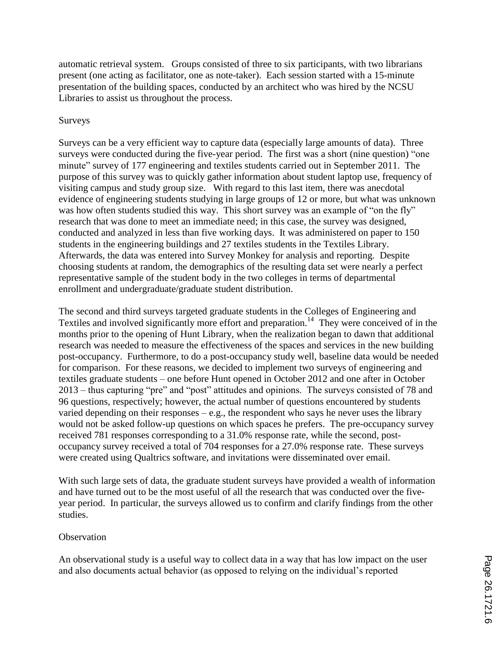automatic retrieval system. Groups consisted of three to six participants, with two librarians present (one acting as facilitator, one as note-taker). Each session started with a 15-minute presentation of the building spaces, conducted by an architect who was hired by the NCSU Libraries to assist us throughout the process.

### Surveys

Surveys can be a very efficient way to capture data (especially large amounts of data). Three surveys were conducted during the five-year period. The first was a short (nine question) "one minute" survey of 177 engineering and textiles students carried out in September 2011. The purpose of this survey was to quickly gather information about student laptop use, frequency of visiting campus and study group size. With regard to this last item, there was anecdotal evidence of engineering students studying in large groups of 12 or more, but what was unknown was how often students studied this way. This short survey was an example of "on the fly" research that was done to meet an immediate need; in this case, the survey was designed, conducted and analyzed in less than five working days. It was administered on paper to 150 students in the engineering buildings and 27 textiles students in the Textiles Library. Afterwards, the data was entered into Survey Monkey for analysis and reporting. Despite choosing students at random, the demographics of the resulting data set were nearly a perfect representative sample of the student body in the two colleges in terms of departmental enrollment and undergraduate/graduate student distribution.

The second and third surveys targeted graduate students in the Colleges of Engineering and Textiles and involved significantly more effort and preparation.<sup>14</sup> They were conceived of in the months prior to the opening of Hunt Library, when the realization began to dawn that additional research was needed to measure the effectiveness of the spaces and services in the new building post-occupancy. Furthermore, to do a post-occupancy study well, baseline data would be needed for comparison. For these reasons, we decided to implement two surveys of engineering and textiles graduate students – one before Hunt opened in October 2012 and one after in October 2013 – thus capturing "pre" and "post" attitudes and opinions. The surveys consisted of 78 and 96 questions, respectively; however, the actual number of questions encountered by students varied depending on their responses  $-e.g.,$  the respondent who says he never uses the library would not be asked follow-up questions on which spaces he prefers. The pre-occupancy survey received 781 responses corresponding to a 31.0% response rate, while the second, postoccupancy survey received a total of 704 responses for a 27.0% response rate. These surveys were created using Qualtrics software, and invitations were disseminated over email.

With such large sets of data, the graduate student surveys have provided a wealth of information and have turned out to be the most useful of all the research that was conducted over the fiveyear period. In particular, the surveys allowed us to confirm and clarify findings from the other studies.

#### **Observation**

An observational study is a useful way to collect data in a way that has low impact on the user and also documents actual behavior (as opposed to relying on the individual's reported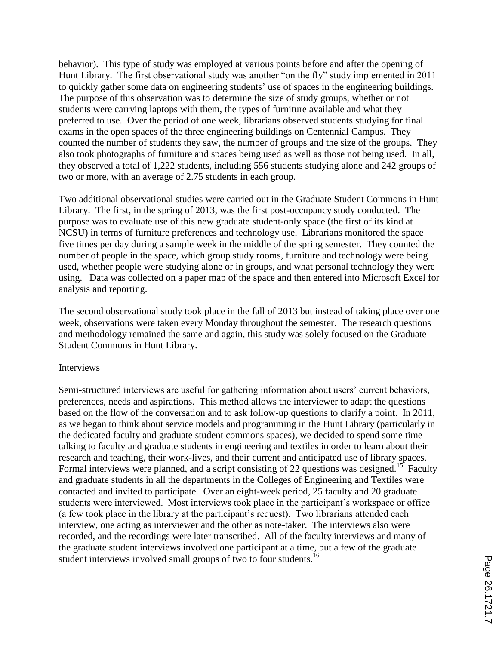behavior). This type of study was employed at various points before and after the opening of Hunt Library. The first observational study was another "on the fly" study implemented in 2011 to quickly gather some data on engineering students' use of spaces in the engineering buildings. The purpose of this observation was to determine the size of study groups, whether or not students were carrying laptops with them, the types of furniture available and what they preferred to use. Over the period of one week, librarians observed students studying for final exams in the open spaces of the three engineering buildings on Centennial Campus. They counted the number of students they saw, the number of groups and the size of the groups. They also took photographs of furniture and spaces being used as well as those not being used. In all, they observed a total of 1,222 students, including 556 students studying alone and 242 groups of two or more, with an average of 2.75 students in each group.

Two additional observational studies were carried out in the Graduate Student Commons in Hunt Library. The first, in the spring of 2013, was the first post-occupancy study conducted. The purpose was to evaluate use of this new graduate student-only space (the first of its kind at NCSU) in terms of furniture preferences and technology use. Librarians monitored the space five times per day during a sample week in the middle of the spring semester. They counted the number of people in the space, which group study rooms, furniture and technology were being used, whether people were studying alone or in groups, and what personal technology they were using. Data was collected on a paper map of the space and then entered into Microsoft Excel for analysis and reporting.

The second observational study took place in the fall of 2013 but instead of taking place over one week, observations were taken every Monday throughout the semester. The research questions and methodology remained the same and again, this study was solely focused on the Graduate Student Commons in Hunt Library.

#### Interviews

Semi-structured interviews are useful for gathering information about users' current behaviors, preferences, needs and aspirations. This method allows the interviewer to adapt the questions based on the flow of the conversation and to ask follow-up questions to clarify a point. In 2011, as we began to think about service models and programming in the Hunt Library (particularly in the dedicated faculty and graduate student commons spaces), we decided to spend some time talking to faculty and graduate students in engineering and textiles in order to learn about their research and teaching, their work-lives, and their current and anticipated use of library spaces. Formal interviews were planned, and a script consisting of 22 questions was designed.<sup>15</sup> Faculty and graduate students in all the departments in the Colleges of Engineering and Textiles were contacted and invited to participate. Over an eight-week period, 25 faculty and 20 graduate students were interviewed. Most interviews took place in the participant's workspace or office (a few took place in the library at the participant's request). Two librarians attended each interview, one acting as interviewer and the other as note-taker. The interviews also were recorded, and the recordings were later transcribed. All of the faculty interviews and many of the graduate student interviews involved one participant at a time, but a few of the graduate student interviews involved small groups of two to four students.<sup>16</sup>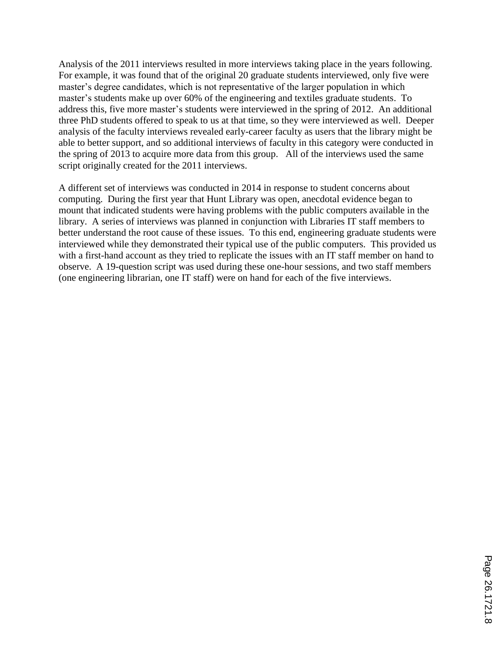Analysis of the 2011 interviews resulted in more interviews taking place in the years following. For example, it was found that of the original 20 graduate students interviewed, only five were master's degree candidates, which is not representative of the larger population in which master's students make up over 60% of the engineering and textiles graduate students. To address this, five more master's students were interviewed in the spring of 2012. An additional three PhD students offered to speak to us at that time, so they were interviewed as well. Deeper analysis of the faculty interviews revealed early-career faculty as users that the library might be able to better support, and so additional interviews of faculty in this category were conducted in the spring of 2013 to acquire more data from this group. All of the interviews used the same script originally created for the 2011 interviews.

A different set of interviews was conducted in 2014 in response to student concerns about computing. During the first year that Hunt Library was open, anecdotal evidence began to mount that indicated students were having problems with the public computers available in the library. A series of interviews was planned in conjunction with Libraries IT staff members to better understand the root cause of these issues. To this end, engineering graduate students were interviewed while they demonstrated their typical use of the public computers. This provided us with a first-hand account as they tried to replicate the issues with an IT staff member on hand to observe. A 19-question script was used during these one-hour sessions, and two staff members (one engineering librarian, one IT staff) were on hand for each of the five interviews.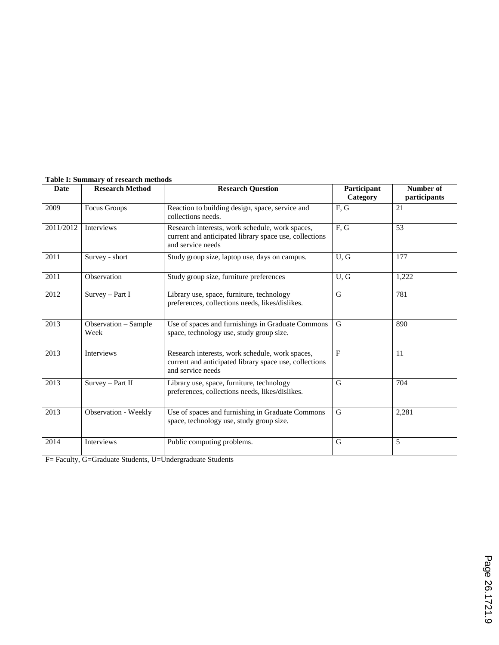| Date      | <b>Research Method</b>       | <b>Research Question</b>                                                                                                       | Participant<br>Category | Number of<br>participants |
|-----------|------------------------------|--------------------------------------------------------------------------------------------------------------------------------|-------------------------|---------------------------|
| 2009      | Focus Groups                 | Reaction to building design, space, service and<br>collections needs.                                                          | F, G                    | 21                        |
| 2011/2012 | <b>Interviews</b>            | Research interests, work schedule, work spaces,<br>current and anticipated library space use, collections<br>and service needs | F, G                    | 53                        |
| 2011      | Survey - short               | Study group size, laptop use, days on campus.                                                                                  | U, G                    | 177                       |
| 2011      | Observation                  | Study group size, furniture preferences                                                                                        | U, G                    | 1,222                     |
| 2012      | Survey - Part I              | Library use, space, furniture, technology<br>preferences, collections needs, likes/dislikes.                                   | G                       | 781                       |
| 2013      | Observation - Sample<br>Week | Use of spaces and furnishings in Graduate Commons<br>space, technology use, study group size.                                  | G                       | 890                       |
| 2013      | Interviews                   | Research interests, work schedule, work spaces,<br>current and anticipated library space use, collections<br>and service needs | $\mathbf{F}$            | 11                        |
| 2013      | Survey - Part II             | Library use, space, furniture, technology<br>preferences, collections needs, likes/dislikes.                                   | G                       | 704                       |
| 2013      | Observation - Weekly         | Use of spaces and furnishing in Graduate Commons<br>space, technology use, study group size.                                   | G                       | 2,281                     |
| 2014      | <b>Interviews</b>            | Public computing problems.                                                                                                     | G                       | 5                         |

#### **Table I: Summary of research methods**

F= Faculty, G=Graduate Students, U=Undergraduate Students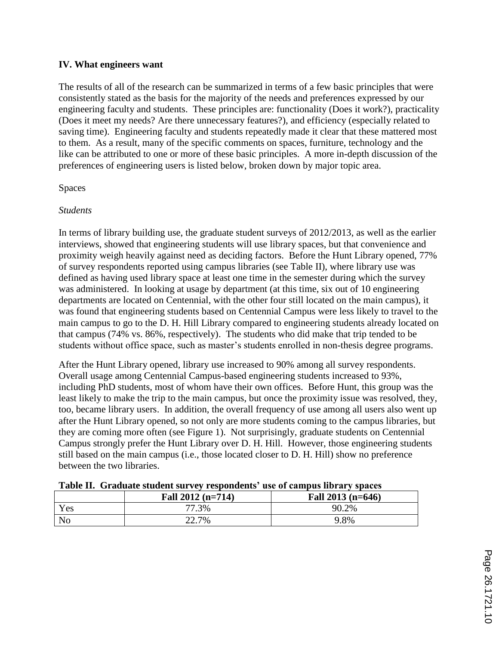### **IV. What engineers want**

The results of all of the research can be summarized in terms of a few basic principles that were consistently stated as the basis for the majority of the needs and preferences expressed by our engineering faculty and students. These principles are: functionality (Does it work?), practicality (Does it meet my needs? Are there unnecessary features?), and efficiency (especially related to saving time). Engineering faculty and students repeatedly made it clear that these mattered most to them. As a result, many of the specific comments on spaces, furniture, technology and the like can be attributed to one or more of these basic principles. A more in-depth discussion of the preferences of engineering users is listed below, broken down by major topic area.

### Spaces

### *Students*

In terms of library building use, the graduate student surveys of 2012/2013, as well as the earlier interviews, showed that engineering students will use library spaces, but that convenience and proximity weigh heavily against need as deciding factors. Before the Hunt Library opened, 77% of survey respondents reported using campus libraries (see Table II), where library use was defined as having used library space at least one time in the semester during which the survey was administered. In looking at usage by department (at this time, six out of 10 engineering departments are located on Centennial, with the other four still located on the main campus), it was found that engineering students based on Centennial Campus were less likely to travel to the main campus to go to the D. H. Hill Library compared to engineering students already located on that campus (74% vs. 86%, respectively). The students who did make that trip tended to be students without office space, such as master's students enrolled in non-thesis degree programs.

After the Hunt Library opened, library use increased to 90% among all survey respondents. Overall usage among Centennial Campus-based engineering students increased to 93%, including PhD students, most of whom have their own offices. Before Hunt, this group was the least likely to make the trip to the main campus, but once the proximity issue was resolved, they, too, became library users. In addition, the overall frequency of use among all users also went up after the Hunt Library opened, so not only are more students coming to the campus libraries, but they are coming more often (see Figure 1). Not surprisingly, graduate students on Centennial Campus strongly prefer the Hunt Library over D. H. Hill. However, those engineering students still based on the main campus (i.e., those located closer to D. H. Hill) show no preference between the two libraries.

|                | Fall $2012$ (n=714) | Fall $2013$ (n=646) |
|----------------|---------------------|---------------------|
| Yes            | 77.3%               | 90.2%               |
| N <sub>o</sub> | 22.7%               | 9.8%                |

#### **Table II. Graduate student survey respondents' use of campus library spaces**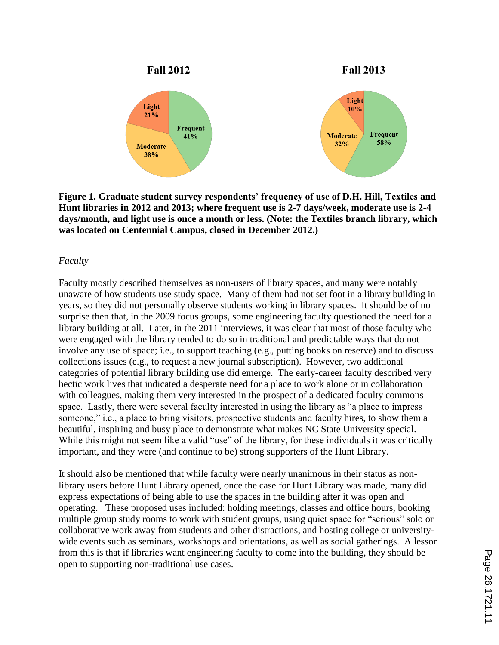

**Figure 1. Graduate student survey respondents' frequency of use of D.H. Hill, Textiles and Hunt libraries in 2012 and 2013; where frequent use is 2-7 days/week, moderate use is 2-4 days/month, and light use is once a month or less. (Note: the Textiles branch library, which was located on Centennial Campus, closed in December 2012.)**

#### *Faculty*

Faculty mostly described themselves as non-users of library spaces, and many were notably unaware of how students use study space. Many of them had not set foot in a library building in years, so they did not personally observe students working in library spaces. It should be of no surprise then that, in the 2009 focus groups, some engineering faculty questioned the need for a library building at all. Later, in the 2011 interviews, it was clear that most of those faculty who were engaged with the library tended to do so in traditional and predictable ways that do not involve any use of space; i.e., to support teaching (e.g., putting books on reserve) and to discuss collections issues (e.g., to request a new journal subscription). However, two additional categories of potential library building use did emerge. The early-career faculty described very hectic work lives that indicated a desperate need for a place to work alone or in collaboration with colleagues, making them very interested in the prospect of a dedicated faculty commons space. Lastly, there were several faculty interested in using the library as "a place to impress someone," i.e., a place to bring visitors, prospective students and faculty hires, to show them a beautiful, inspiring and busy place to demonstrate what makes NC State University special. While this might not seem like a valid "use" of the library, for these individuals it was critically important, and they were (and continue to be) strong supporters of the Hunt Library.

It should also be mentioned that while faculty were nearly unanimous in their status as nonlibrary users before Hunt Library opened, once the case for Hunt Library was made, many did express expectations of being able to use the spaces in the building after it was open and operating. These proposed uses included: holding meetings, classes and office hours, booking multiple group study rooms to work with student groups, using quiet space for "serious" solo or collaborative work away from students and other distractions, and hosting college or universitywide events such as seminars, workshops and orientations, as well as social gatherings. A lesson from this is that if libraries want engineering faculty to come into the building, they should be open to supporting non-traditional use cases.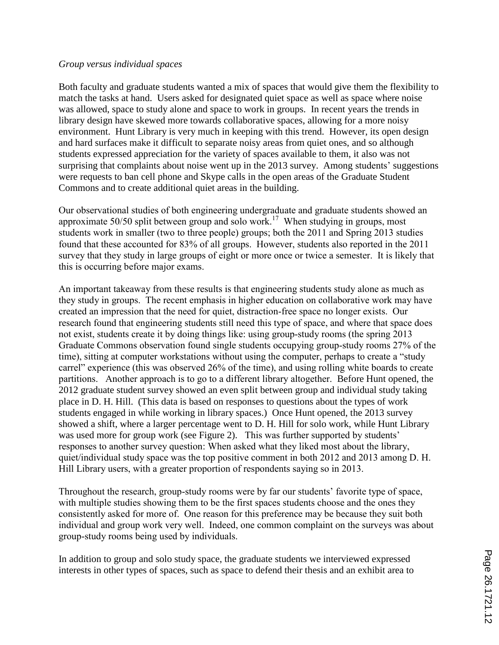#### *Group versus individual spaces*

Both faculty and graduate students wanted a mix of spaces that would give them the flexibility to match the tasks at hand. Users asked for designated quiet space as well as space where noise was allowed, space to study alone and space to work in groups. In recent years the trends in library design have skewed more towards collaborative spaces, allowing for a more noisy environment. Hunt Library is very much in keeping with this trend. However, its open design and hard surfaces make it difficult to separate noisy areas from quiet ones, and so although students expressed appreciation for the variety of spaces available to them, it also was not surprising that complaints about noise went up in the 2013 survey. Among students' suggestions were requests to ban cell phone and Skype calls in the open areas of the Graduate Student Commons and to create additional quiet areas in the building.

Our observational studies of both engineering undergraduate and graduate students showed an approximate  $50/50$  split between group and solo work.<sup>17</sup> When studying in groups, most students work in smaller (two to three people) groups; both the 2011 and Spring 2013 studies found that these accounted for 83% of all groups. However, students also reported in the 2011 survey that they study in large groups of eight or more once or twice a semester. It is likely that this is occurring before major exams.

An important takeaway from these results is that engineering students study alone as much as they study in groups. The recent emphasis in higher education on collaborative work may have created an impression that the need for quiet, distraction-free space no longer exists. Our research found that engineering students still need this type of space, and where that space does not exist, students create it by doing things like: using group-study rooms (the spring 2013 Graduate Commons observation found single students occupying group-study rooms 27% of the time), sitting at computer workstations without using the computer, perhaps to create a "study carrel" experience (this was observed 26% of the time), and using rolling white boards to create partitions. Another approach is to go to a different library altogether. Before Hunt opened, the 2012 graduate student survey showed an even split between group and individual study taking place in D. H. Hill. (This data is based on responses to questions about the types of work students engaged in while working in library spaces.) Once Hunt opened, the 2013 survey showed a shift, where a larger percentage went to D. H. Hill for solo work, while Hunt Library was used more for group work (see Figure 2). This was further supported by students' responses to another survey question: When asked what they liked most about the library, quiet/individual study space was the top positive comment in both 2012 and 2013 among D. H. Hill Library users, with a greater proportion of respondents saying so in 2013.

Throughout the research, group-study rooms were by far our students' favorite type of space, with multiple studies showing them to be the first spaces students choose and the ones they consistently asked for more of. One reason for this preference may be because they suit both individual and group work very well. Indeed, one common complaint on the surveys was about group-study rooms being used by individuals.

In addition to group and solo study space, the graduate students we interviewed expressed interests in other types of spaces, such as space to defend their thesis and an exhibit area to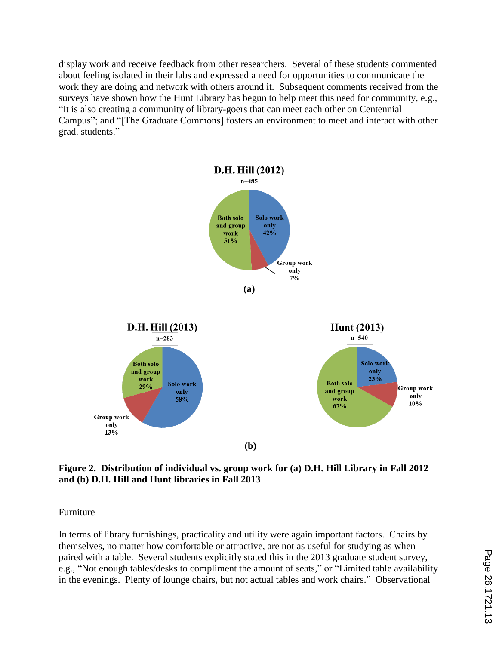display work and receive feedback from other researchers. Several of these students commented about feeling isolated in their labs and expressed a need for opportunities to communicate the work they are doing and network with others around it. Subsequent comments received from the surveys have shown how the Hunt Library has begun to help meet this need for community, e.g., "It is also creating a community of library-goers that can meet each other on Centennial Campus"; and "[The Graduate Commons] fosters an environment to meet and interact with other grad. students."



**Figure 2. Distribution of individual vs. group work for (a) D.H. Hill Library in Fall 2012 and (b) D.H. Hill and Hunt libraries in Fall 2013**

Furniture

In terms of library furnishings, practicality and utility were again important factors. Chairs by themselves, no matter how comfortable or attractive, are not as useful for studying as when paired with a table. Several students explicitly stated this in the 2013 graduate student survey, e.g., "Not enough tables/desks to compliment the amount of seats," or "Limited table availability in the evenings. Plenty of lounge chairs, but not actual tables and work chairs." Observational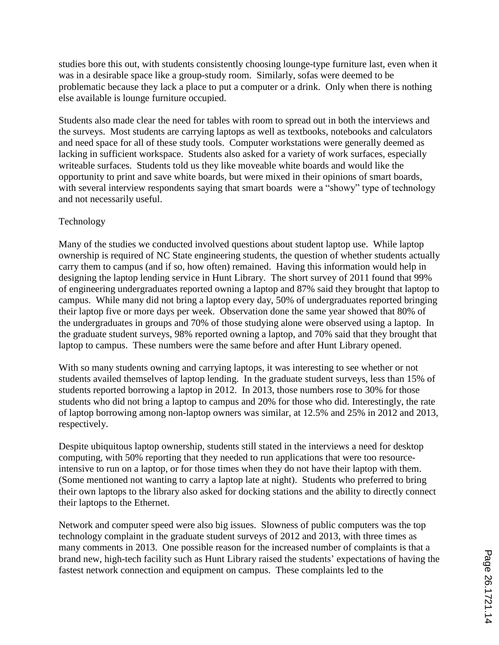studies bore this out, with students consistently choosing lounge-type furniture last, even when it was in a desirable space like a group-study room. Similarly, sofas were deemed to be problematic because they lack a place to put a computer or a drink. Only when there is nothing else available is lounge furniture occupied.

Students also made clear the need for tables with room to spread out in both the interviews and the surveys. Most students are carrying laptops as well as textbooks, notebooks and calculators and need space for all of these study tools. Computer workstations were generally deemed as lacking in sufficient workspace. Students also asked for a variety of work surfaces, especially writeable surfaces. Students told us they like moveable white boards and would like the opportunity to print and save white boards, but were mixed in their opinions of smart boards, with several interview respondents saying that smart boards were a "showy" type of technology and not necessarily useful.

### Technology

Many of the studies we conducted involved questions about student laptop use. While laptop ownership is required of NC State engineering students, the question of whether students actually carry them to campus (and if so, how often) remained. Having this information would help in designing the laptop lending service in Hunt Library. The short survey of 2011 found that 99% of engineering undergraduates reported owning a laptop and 87% said they brought that laptop to campus. While many did not bring a laptop every day, 50% of undergraduates reported bringing their laptop five or more days per week. Observation done the same year showed that 80% of the undergraduates in groups and 70% of those studying alone were observed using a laptop. In the graduate student surveys, 98% reported owning a laptop, and 70% said that they brought that laptop to campus. These numbers were the same before and after Hunt Library opened.

With so many students owning and carrying laptops, it was interesting to see whether or not students availed themselves of laptop lending. In the graduate student surveys, less than 15% of students reported borrowing a laptop in 2012. In 2013, those numbers rose to 30% for those students who did not bring a laptop to campus and 20% for those who did. Interestingly, the rate of laptop borrowing among non-laptop owners was similar, at 12.5% and 25% in 2012 and 2013, respectively.

Despite ubiquitous laptop ownership, students still stated in the interviews a need for desktop computing, with 50% reporting that they needed to run applications that were too resourceintensive to run on a laptop, or for those times when they do not have their laptop with them. (Some mentioned not wanting to carry a laptop late at night). Students who preferred to bring their own laptops to the library also asked for docking stations and the ability to directly connect their laptops to the Ethernet.

Network and computer speed were also big issues. Slowness of public computers was the top technology complaint in the graduate student surveys of 2012 and 2013, with three times as many comments in 2013. One possible reason for the increased number of complaints is that a brand new, high-tech facility such as Hunt Library raised the students' expectations of having the fastest network connection and equipment on campus. These complaints led to the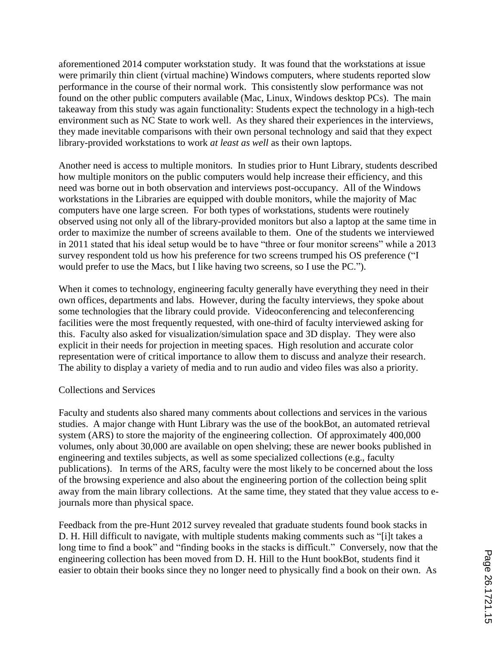aforementioned 2014 computer workstation study. It was found that the workstations at issue were primarily thin client (virtual machine) Windows computers, where students reported slow performance in the course of their normal work. This consistently slow performance was not found on the other public computers available (Mac, Linux, Windows desktop PCs). The main takeaway from this study was again functionality: Students expect the technology in a high-tech environment such as NC State to work well. As they shared their experiences in the interviews, they made inevitable comparisons with their own personal technology and said that they expect library-provided workstations to work *at least as well* as their own laptops.

Another need is access to multiple monitors. In studies prior to Hunt Library, students described how multiple monitors on the public computers would help increase their efficiency, and this need was borne out in both observation and interviews post-occupancy. All of the Windows workstations in the Libraries are equipped with double monitors, while the majority of Mac computers have one large screen. For both types of workstations, students were routinely observed using not only all of the library-provided monitors but also a laptop at the same time in order to maximize the number of screens available to them. One of the students we interviewed in 2011 stated that his ideal setup would be to have "three or four monitor screens" while a 2013 survey respondent told us how his preference for two screens trumped his OS preference ("I would prefer to use the Macs, but I like having two screens, so I use the PC.").

When it comes to technology, engineering faculty generally have everything they need in their own offices, departments and labs. However, during the faculty interviews, they spoke about some technologies that the library could provide. Videoconferencing and teleconferencing facilities were the most frequently requested, with one-third of faculty interviewed asking for this. Faculty also asked for visualization/simulation space and 3D display. They were also explicit in their needs for projection in meeting spaces. High resolution and accurate color representation were of critical importance to allow them to discuss and analyze their research. The ability to display a variety of media and to run audio and video files was also a priority.

#### Collections and Services

Faculty and students also shared many comments about collections and services in the various studies. A major change with Hunt Library was the use of the bookBot, an automated retrieval system (ARS) to store the majority of the engineering collection. Of approximately 400,000 volumes, only about 30,000 are available on open shelving; these are newer books published in engineering and textiles subjects, as well as some specialized collections (e.g., faculty publications). In terms of the ARS, faculty were the most likely to be concerned about the loss of the browsing experience and also about the engineering portion of the collection being split away from the main library collections. At the same time, they stated that they value access to ejournals more than physical space.

Feedback from the pre-Hunt 2012 survey revealed that graduate students found book stacks in D. H. Hill difficult to navigate, with multiple students making comments such as "[i]t takes a long time to find a book" and "finding books in the stacks is difficult." Conversely, now that the engineering collection has been moved from D. H. Hill to the Hunt bookBot, students find it easier to obtain their books since they no longer need to physically find a book on their own. As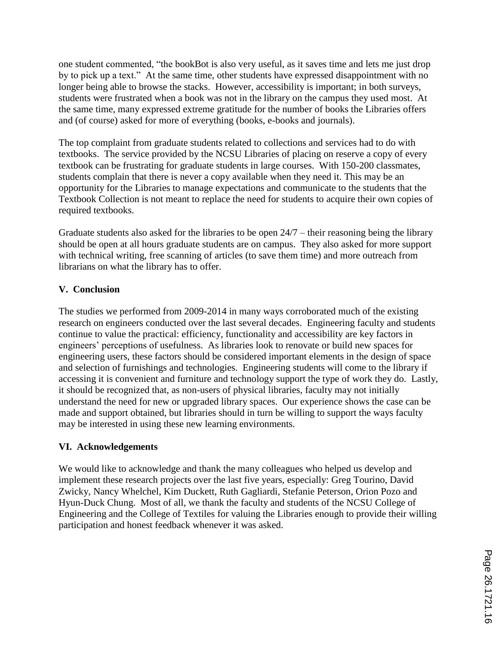one student commented, "the bookBot is also very useful, as it saves time and lets me just drop by to pick up a text." At the same time, other students have expressed disappointment with no longer being able to browse the stacks. However, accessibility is important; in both surveys, students were frustrated when a book was not in the library on the campus they used most. At the same time, many expressed extreme gratitude for the number of books the Libraries offers and (of course) asked for more of everything (books, e-books and journals).

The top complaint from graduate students related to collections and services had to do with textbooks. The service provided by the NCSU Libraries of placing on reserve a copy of every textbook can be frustrating for graduate students in large courses. With 150-200 classmates, students complain that there is never a copy available when they need it. This may be an opportunity for the Libraries to manage expectations and communicate to the students that the Textbook Collection is not meant to replace the need for students to acquire their own copies of required textbooks.

Graduate students also asked for the libraries to be open 24/7 – their reasoning being the library should be open at all hours graduate students are on campus. They also asked for more support with technical writing, free scanning of articles (to save them time) and more outreach from librarians on what the library has to offer.

## **V. Conclusion**

The studies we performed from 2009-2014 in many ways corroborated much of the existing research on engineers conducted over the last several decades. Engineering faculty and students continue to value the practical: efficiency, functionality and accessibility are key factors in engineers' perceptions of usefulness. As libraries look to renovate or build new spaces for engineering users, these factors should be considered important elements in the design of space and selection of furnishings and technologies. Engineering students will come to the library if accessing it is convenient and furniture and technology support the type of work they do. Lastly, it should be recognized that, as non-users of physical libraries, faculty may not initially understand the need for new or upgraded library spaces. Our experience shows the case can be made and support obtained, but libraries should in turn be willing to support the ways faculty may be interested in using these new learning environments.

### **VI. Acknowledgements**

We would like to acknowledge and thank the many colleagues who helped us develop and implement these research projects over the last five years, especially: Greg Tourino, David Zwicky, Nancy Whelchel, Kim Duckett, Ruth Gagliardi, Stefanie Peterson, Orion Pozo and Hyun-Duck Chung. Most of all, we thank the faculty and students of the NCSU College of Engineering and the College of Textiles for valuing the Libraries enough to provide their willing participation and honest feedback whenever it was asked.